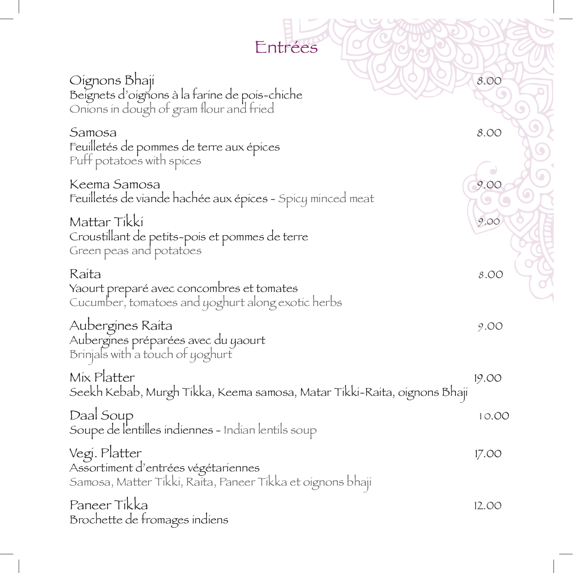| Entrées                                                                                                            |       |
|--------------------------------------------------------------------------------------------------------------------|-------|
| Oignons Bhaji<br>Beignets d'oignons à la farine de pois-chiche<br>Onions in dough of gram flour and fried          | 8.00  |
| Samosa<br>Feuilletés de pommes de terre aux épices<br>Puff potatoes with spices                                    | 8.00  |
| Keema Samosa<br>Feuilletés de viande hachée aux épices - Spicy minced meat                                         | 9.0C  |
| Mattar Tikki<br>Croustillant de petits-pois et pommes de terre<br>Green peas and potatoes                          | 9.00  |
| Raita<br>Yaourt preparé avec concombres et tomates<br>Cucumber, tomatoes and yoghurt along exotic herbs            | 8.00  |
| Aubergines Raita<br>Aubergines préparées avec du yaourt<br>Brinjals with a touch of yoghurt                        | 9.00  |
| Mix Platter<br>Seekh Kebab, Murgh Tikka, Keema samosa, Matar Tikki-Raita, oignons Bhaji                            | 19.00 |
| Daal Soup<br>Soupe de l'entilles indiennes - Indian lentils soup                                                   | 10.00 |
| Vegi. Platter<br>Assortiment d'entrées végétariennes<br>Samosa, Matter Tikki, Raita, Paneer Tikka et oignons bhaji | 17.00 |
| Paneer Tikka<br>Brochette de fromages indiens                                                                      | 12.00 |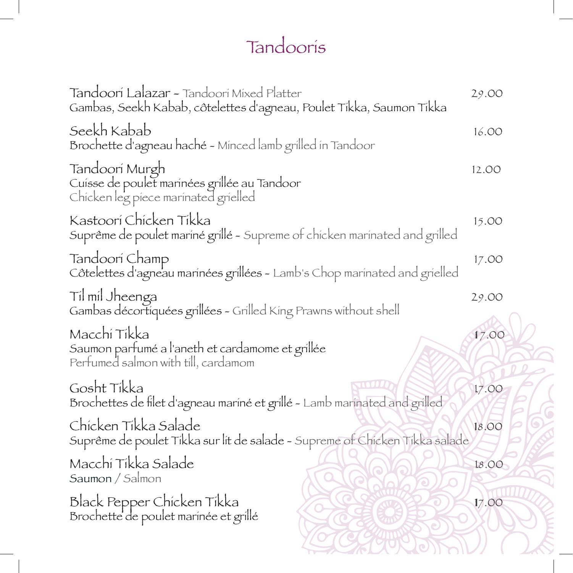## Tandooris

| Tandoorí Lalazar - Tandoorí Míxed Platter<br>Gambas, Seekh Kabab, côtelettes d'agneau, Poulet Tikka, Saumon Tikka | 29.00  |
|-------------------------------------------------------------------------------------------------------------------|--------|
| Seekh Kabab<br>Brochette d'agneau haché - Minced lamb grilled in Tandoor                                          | 16.00  |
| Tandoori Murgh<br>Cuisse de poulet marinées grillée au Tandoor<br>Chicken leg piece marinated grielled            | 12.00  |
| Kastoori Chicken Tikka<br>Suprême de poulet mariné grillé - Supreme of chicken marinated and grilled              | 15.00  |
| Tandoorí Champ<br>Côtelettes d'agneau marinées grillées - Lamb's Chop marinated and grielled                      | 17.00  |
| Til mil Jheenga<br>Gambas décortiquées grillées - Grilled King Prawns without shell                               | 29.00  |
| Macchi Tikka<br>Saumon parfumé a l'aneth et cardamome et grillée<br>Perfumed salmon with till, cardamom           | 17.00  |
| Gosht Tikka<br>Brochettes de filet d'agneau mariné et grillé - Lamb marinated and grilled                         | 17.00  |
| Chicken Tikka Salade<br>Suprême de poulet Tikka sur lit de salade - Supreme of Chicken Tikka salade               | 18.00  |
| Macchi Tikka Salade<br>Saumon / Salmon                                                                            | 1.8.00 |
| Black Pepper Chicken Tikka<br>Brochette de poulet marinée et grillé                                               | 17.00  |
|                                                                                                                   |        |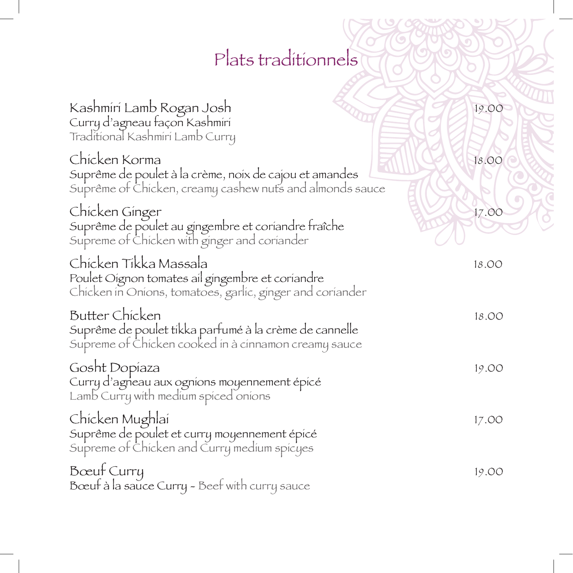# Plats traditionnels

| Kashmiri Lamb Rogan Josh<br>Curry d'agneau façon Kashmiri<br>Traditional Kashmiri Lamb Curry                                           | 19.00 |
|----------------------------------------------------------------------------------------------------------------------------------------|-------|
| Chicken Korma<br>Suprême de poulet à la crème, noix de cajou et amandes<br>Suprême of Chicken, creamy cashew nuts and almonds sauce    | 18.00 |
| Chicken Ginger<br>Suprême de poulet au gingembre et coriandre fraîche<br>Supreme of Chicken with ginger and coriander                  | 17.00 |
| Chicken Tikka Massala<br>Poulet Oignon tomates ail gingembre et coriandre<br>Chicken in Onions, tomatoes, garlic, ginger and coriander | 18.00 |
| Butter Chicken<br>Suprême de poulet tikka parfumé à la crème de cannelle<br>Supreme of Chicken cooked in à cinnamon creamy sauce       | 18.00 |
| Gosht Dopíaza<br>Curry d'agneau aux ogníons moyennement épicé<br>Lamb Curry with medium spiced onions                                  | 19.00 |
| Chicken Mughlai<br>Suprême de poulet et curry moyennement épicé<br>Supreme of Chicken and Curry medium spicyes                         | 17.00 |
| Bœuf Curry<br>Bœuf à la sauce Curry - Beef with curry sauce                                                                            | 19.00 |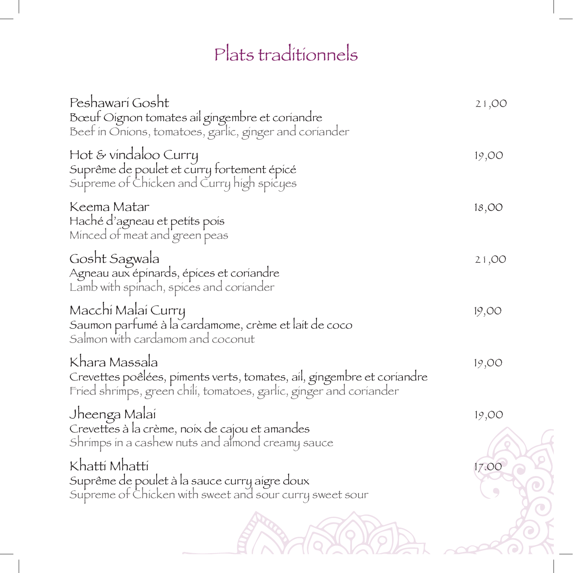## Plats traditionnels

| Peshawarí Gosht<br>Bœuf Oignon tomates ail gingembre et coriandre<br>Beef in Onions, tomatoes, garlic, ginger and coriander                                   | 21,00               |
|---------------------------------------------------------------------------------------------------------------------------------------------------------------|---------------------|
| Hot & vindaloo Curry<br>Suprême de poulet et curry fortement épicé<br>Supreme of Chicken and Curry high spicyes                                               | 19,00               |
| Keema Matar<br>Haché d'agneau et petits pois<br>Minced of meat and green peas                                                                                 | 18,00               |
| Gosht Sagwala<br>Agneau aux épinards, épices et coriandre<br>Lamb with spinach, spices and coriander                                                          | 21,00               |
| Macchí Malaí Curry<br>Saumon parfumé à la cardamome, crème et lait de coco<br>Salmon with cardamom and coconut                                                | 19,00               |
| Khara Massala<br>Crevettes poêlées, piments verts, tomates, ail, gingembre et coriandre<br>Fried shrimps, green chili, tomatoes, garlic, ginger and coriander | 19,00               |
| Jheenga Malai<br>Crevettes à la crème, noix de cajou et amandes<br>Shrimps in a cashew nuts and almond creamy sauce                                           | 19,00               |
| Khattí Mhattí<br>Suprême de poulet à la sauce curry aigre doux<br>Supreme of Chicken with sweet and sour curry sweet sour                                     | 17.00<br>$\bigcirc$ |
|                                                                                                                                                               |                     |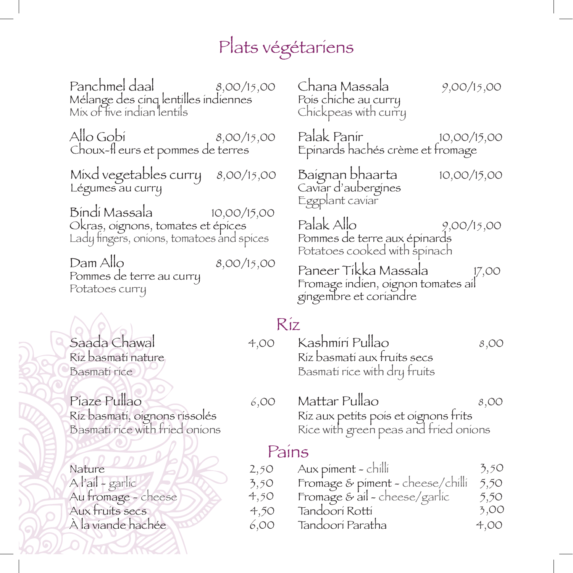### Plats végétariens

Panchmel daal  $\qquad \qquad 8,00/15,00$ Mélange des cinq lentilles indiennes Mix of five indian lentils

Allo Gobi 8,00/15,00 Choux-fl eurs et pommes de terres

Mixd vegetables curry 8,00/15,00 Légumes au curry

Bindi Massala 10,00/15,00 Okras, oignons, tomates et épices Lady fingers, onions, tomatoes and spices

Dam Allo 8,00/15,00 Pommes de terre au curry Potatoes curry

Saada Chawal 4,00 Riz basmati nature Basmati rice

Piaze Pullao 6,00 Riz basmati, oignons rissolés Basmati rice with fried onions

Nature  $\sim$   $\sim$  2,50  $\triangle$   $\triangle$  3,50 Au fromage - cheese Aux fruits secs 4,50  $\overrightarrow{A}$  la viande hachée  $\overrightarrow{6,00}$  Chana Massala 9,00/15,00 Pois chiche au curry Chickpeas with curry

Palak Panir 10,00/15,00 Epinards hachés crème et fromage

Baignan bhaarta 10,00/15,00 Caviar d'aubergines Eggplant caviar

Palak Allo 9,00/15,00 Pommes de terre aux épinards Potatoes cooked with spinach

Paneer Tikka Massala 17,00 Fromage indien, oignon tomates ail gingembre et coriandre

#### Riz

- Kashmiri Pullao 8,00 Riz basmati aux fruits secs Basmati rice with dry fruits
- Mattar Pullao 8,00 Riz aux petits pois et oignons frits Rice with green peas and fried onions

#### Pains

- Fromage & piment cheese/chilli 5,50 Aux piment - chilli  $3,50$
- 4,50 Fromage & ail - cheese/garlic  $5,50$
- Tandoori Rotti 3,00
- Tandoori Paratha 4,00